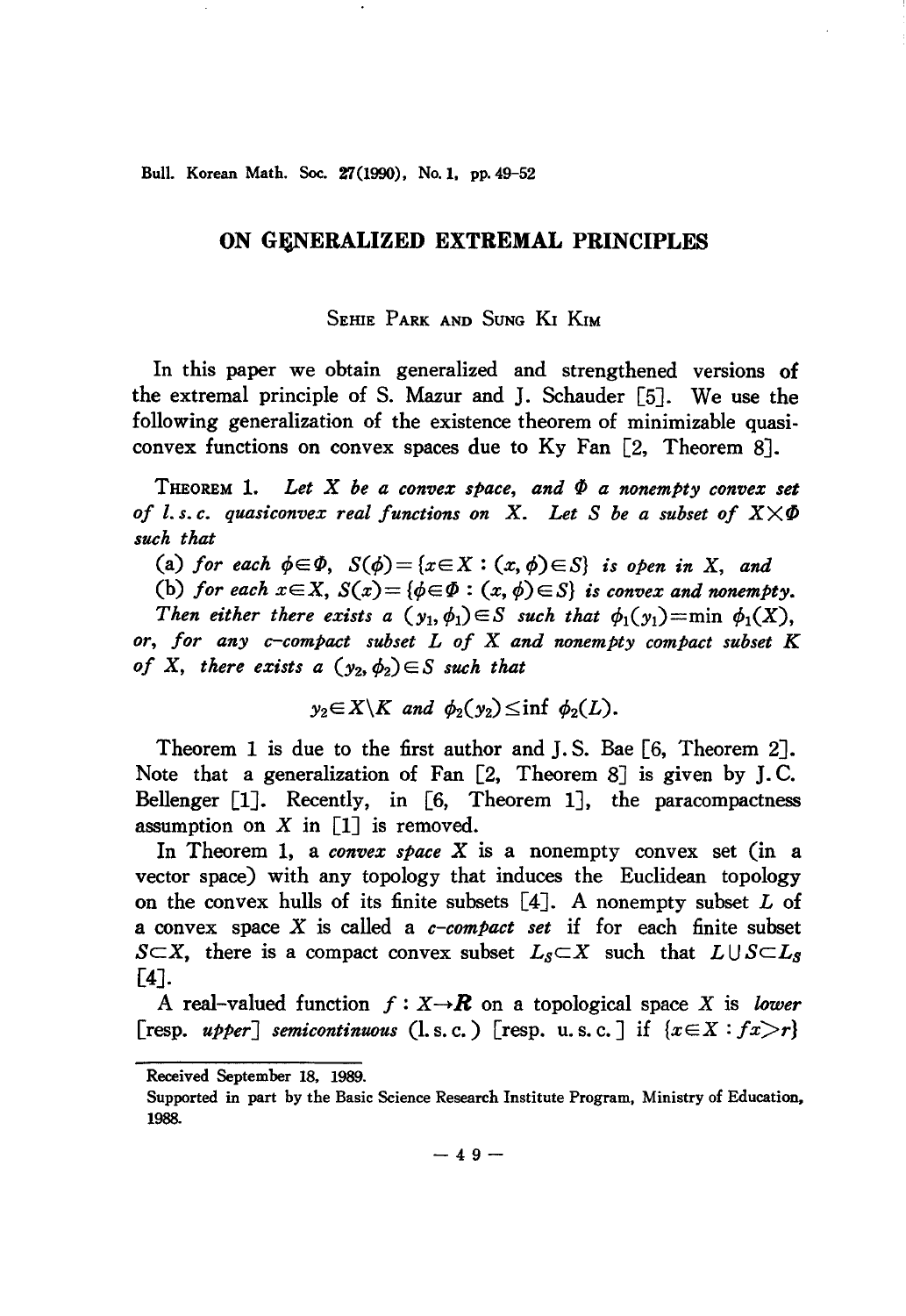Bull. Korean Math. Soc. 27(1990). No. 1, pp. 49-52

## **ON GENERALIZED EXTREMAL PRINCIPLES**

## SEHIE PARK AND SUNG KI KIM

In this paper we obtain generalized and strengthened versions of the extremal principle of S. Mazur and J. Schauder [5J. We use the following generalization of the existence theorem of minimizable quasiconvex functions on convex spaces due to Ky Fan [2, Theorem 8J.

THEOREM 1. Let  $X$  be a convex space, and  $\Phi$  a nonempty convex set *of l.s.c. quasiconvex real functions on X. Let S be a subset of*  $X \times \Phi$ *such that*

(a) for each  $\phi \in \Phi$ ,  $S(\phi) = \{x \in X : (x, \phi) \in S\}$  is open in X, and

(b) for each  $x \in X$ ,  $S(x) = \{\phi \in \Phi : (x, \phi) \in S\}$  is convex and nonempty. *Then either there exists a*  $(y_1, \phi_1) \in S$  *such that*  $\phi_1(y_1) = \min \phi_1(X)$ , *or, for any c-compact subset L of* X *and nonempty compact subset K of* X, there exists a  $(y_2, \phi_2) \in S$  *such that* 

$$
y_2 \in X \backslash K
$$
 and  $\phi_2(y_2) \leq \inf \phi_2(L)$ .

Theorem 1 is due to the first author and J. S. Bae [6, Theorem 2J. Note that a generalization of Fan  $[2,$  Theorem 8] is given by J.C. Bellenger  $[1]$ . Recently, in  $[6,$  Theorem 1, the paracompactness assumption on  $X$  in  $[1]$  is removed.

In Theorem 1, a *convex space* X is a nonempty convex set (in a vector space) with any topology that induces the Euclidean topology on the convex hulls of its finite subsets  $[4]$ . A nonempty subset L of a convex space X is called a *c-compact set* if for each finite subset *S* $\subset$ *X*, there is a compact convex subset  $L_s \subset X$  such that  $L \cup S \subset L_s$ [4J.

A real-valued function  $f: X \rightarrow \mathbb{R}$  on a topological space X is *lower* [resp. *upper*] *semicontinuous* (l.s.c.) [resp. u.s.c.] if  $\{x \in X : f x > r\}$ 

Received September 18. 1989.

Supported in part by the Basic Science Research Institute Program, Ministry of Education, 1988.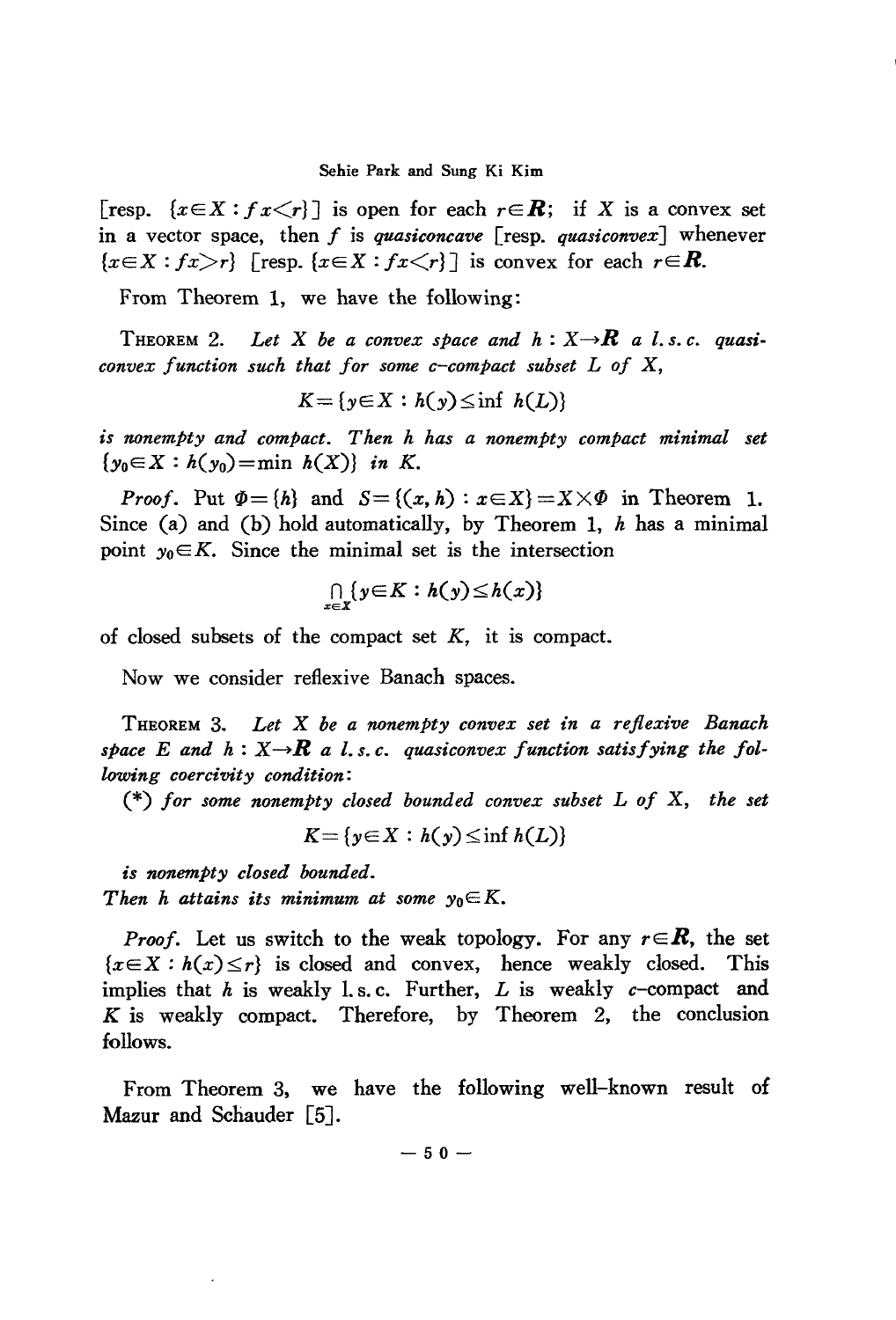## Sehie Park and Sung Ki Kim

[resp.  $\{x \in X : f x \leq r\}$ ] is open for each  $r \in \mathbb{R}$ ; if X is a convex set in a vector space, then *f* is *quasiconcave* [resp. *quasiconvex]* whenever  ${x \in X : f x > r}$  [resp.  ${x \in X : f x < r}$ ] is convex for each  $r \in \mathbb{R}$ .

From Theorem 1, we have the following:

THEOREM 2. Let X be a convex space and  $h: X \rightarrow \mathbb{R}$  a *l.s.c.* quasi*convex function such that for some c-compact subset L of* X,

$$
K = \{ y \in X : h(y) \leq \inf h(L) \}
$$

*is nonempty and compact. Then h has a nonempty compact minimal set*  $\{y_0 \in X : h(y_0) = \min h(X)\}$  *in K*.

*Proof.* Put  $\Phi = \{h\}$  and  $S = \{(x, h) : x \in X\} = X \times \Phi$  in Theorem 1. Since (a) and (b) hold automatically, by Theorem 1, *h* has a minimal point  $y_0 \in K$ . Since the minimal set is the intersection

$$
\bigcap_{x\in X}\{y\in K:h(y)\leq h(x)\}\
$$

of closed subsets of the compact set  $K$ , it is compact.

Now we consider reflexive Banach spaces.

THEOREM 3. *Let* X *be a nonempty convex set in a reflexive Banach* space E and  $h: X \rightarrow \mathbb{R}$  a *l.s.c.* quasiconvex function satisfying the fol*lowing coercivity condition:*

(\*) *for some nonempty closed bounded convex subset L of* X, *the set*

$$
K = \{y \in X : h(y) \leq \inf h(L)\}
$$

*is nonempty closed bounded.*

*Then h attains its minimum at some*  $y_0 \in K$ .

*Proof.* Let us switch to the weak topology. For any  $r \in \mathbb{R}$ , the set  ${x \in X : h(x) \le r}$  is closed and convex, hence weakly closed. This implies that *h* is weakly 1.s.c. Further, *L* is weakly *c*-compact and K is weakly compact. Therefore, by Theorem 2, the conclusion follows.

From Theorem 3. we have the following well-known result of Mazur and Schauder [5].

 $- 50 -$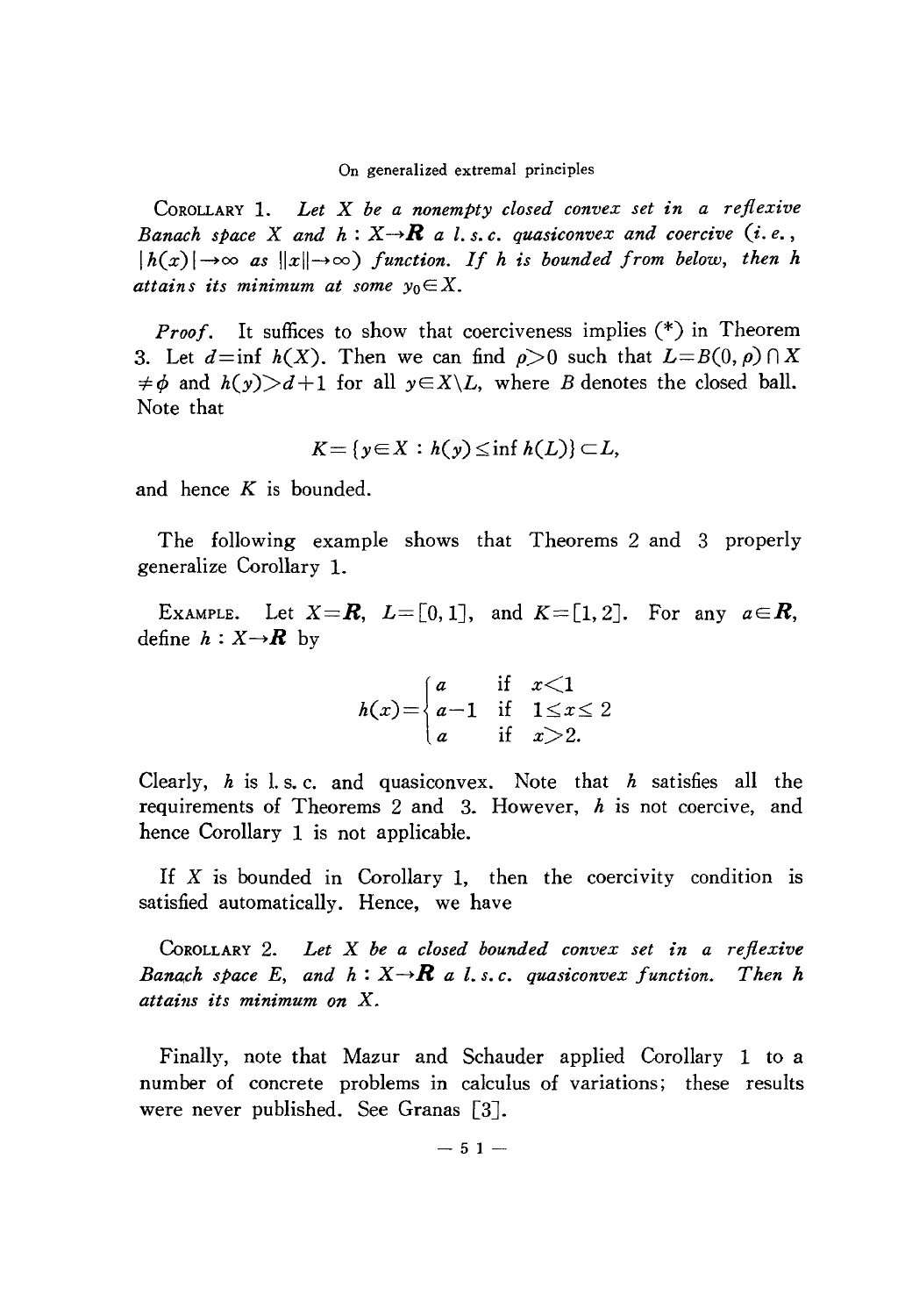On generalized extremal principles

COROLLARY 1. *Let* X *be a nonempty closed convex set in a reflexive Banach space X and*  $h: X \rightarrow \mathbb{R}$  *a l.s.c. quasiconvex and coercive* (*i.e.*,  $|h(x)| \to \infty$  *as*  $||x|| \to \infty$ ) *function. If h is bounded from below, then h attains its minimum at some*  $y_0 \in X$ .

*Proof.* It suffices to show that coerciveness implies  $(*)$  in Theorem 3. Let  $d=\inf h(X)$ . Then we can find  $\rho>0$  such that  $L=B(0,\rho)\cap X$  $\neq \phi$  and  $h(y) > d+1$  for all  $y \in X \setminus L$ , where *B* denotes the closed ball. Note that

$$
K = \{ y \in X : h(y) \leq \inf h(L) \} \subset L,
$$

and hence  $K$  is bounded.

The following example shows that Theorems 2 and 3 properly generalize Corollary 1.

EXAMPLE. Let  $X=R$ ,  $L=[0,1]$ , and  $K=[1,2]$ . For any  $a \in R$ , define  $h: X \rightarrow \mathbb{R}$  by

$$
h(x) = \begin{cases} a & \text{if } x < 1 \\ a - 1 & \text{if } 1 \le x \le 2 \\ a & \text{if } x > 2. \end{cases}
$$

Clearly, *h* is 1. s. c. and quasiconvex. Note that *h* satisfies all the requirements of Theorems 2 and 3. However,  $h$  is not coercive, and hence Corollary 1 is not applicable.

If  $X$  is bounded in Corollary 1, then the coercivity condition is satisfied automatically. Hence, we have

CoROLLARY 2. *Let* X *be a closed bounded convex set in a reflexive Banach space* E, and  $h: X \rightarrow \mathbb{R}$  a *l.s.c.* quasiconvex function. Then h *attains its minimum on* X.

Finally, note that Mazur and Schauder applied Corollary 1 to a number of concrete problems in calculus of variations; these results were never published. See Granas [3].

 $-51-$